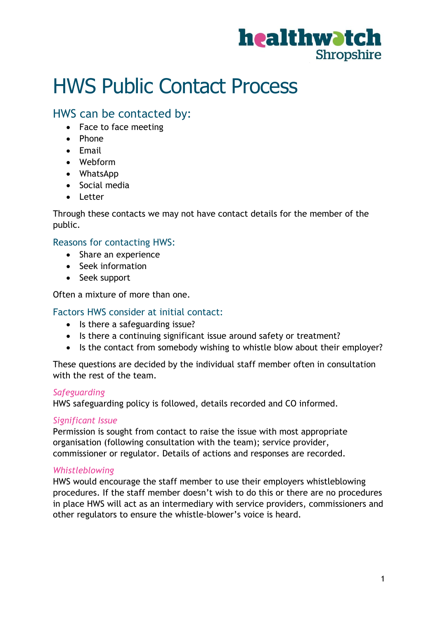

# HWS Public Contact Process

### HWS can be contacted by:

- Face to face meeting
- Phone
- Email
- Webform
- WhatsApp
- Social media
- Letter

Through these contacts we may not have contact details for the member of the public.

#### Reasons for contacting HWS:

- Share an experience
- Seek information
- Seek support

Often a mixture of more than one.

#### Factors HWS consider at initial contact:

- Is there a safeguarding issue?
- Is there a continuing significant issue around safety or treatment?
- Is the contact from somebody wishing to whistle blow about their employer?

These questions are decided by the individual staff member often in consultation with the rest of the team.

#### *Safeguarding*

HWS safeguarding policy is followed, details recorded and CO informed.

#### *Significant Issue*

Permission is sought from contact to raise the issue with most appropriate organisation (following consultation with the team); service provider, commissioner or regulator. Details of actions and responses are recorded.

#### *Whistleblowing*

HWS would encourage the staff member to use their employers whistleblowing procedures. If the staff member doesn't wish to do this or there are no procedures in place HWS will act as an intermediary with service providers, commissioners and other regulators to ensure the whistle-blower's voice is heard.